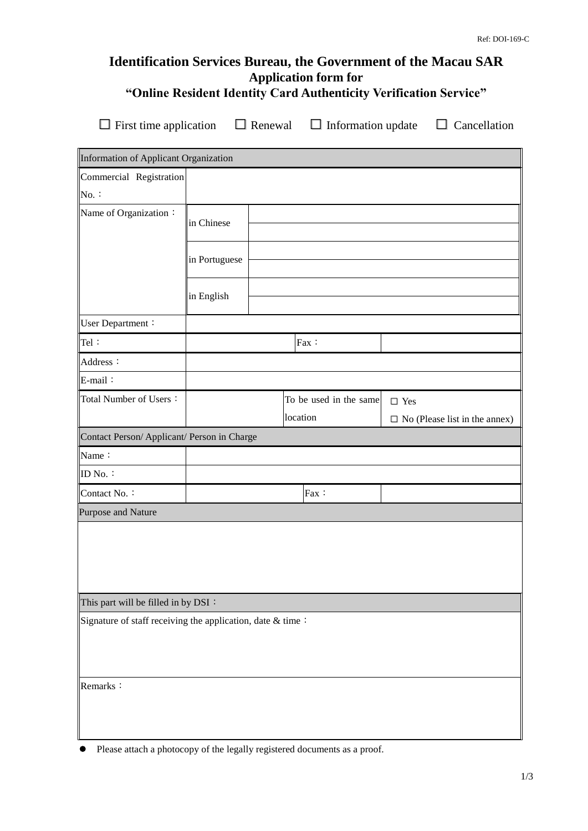# **Identification Services Bureau, the Government of the Macau SAR Application form for "Online Resident Identity Card Authenticity Verification Service"**

**□**First time application **□** Renewal **□**Information update **□** Cancellation

| Information of Applicant Organization                      |               |  |          |                        |                                      |  |
|------------------------------------------------------------|---------------|--|----------|------------------------|--------------------------------------|--|
| Commercial Registration                                    |               |  |          |                        |                                      |  |
| $No.$ :                                                    |               |  |          |                        |                                      |  |
| Name of Organization:                                      | in Chinese    |  |          |                        |                                      |  |
|                                                            | in Portuguese |  |          |                        |                                      |  |
|                                                            | in English    |  |          |                        |                                      |  |
| User Department:                                           |               |  |          |                        |                                      |  |
| Tel:                                                       |               |  |          | Fax:                   |                                      |  |
| Address:                                                   |               |  |          |                        |                                      |  |
| E-mail:                                                    |               |  |          |                        |                                      |  |
| Total Number of Users:                                     |               |  |          | To be used in the same | $\square$ Yes                        |  |
|                                                            |               |  | location |                        | $\Box$ No (Please list in the annex) |  |
| Contact Person/ Applicant/ Person in Charge                |               |  |          |                        |                                      |  |
| Name:                                                      |               |  |          |                        |                                      |  |
| ID No.:                                                    |               |  |          |                        |                                      |  |
| Contact No.:                                               |               |  |          | Fax:                   |                                      |  |
| Purpose and Nature                                         |               |  |          |                        |                                      |  |
|                                                            |               |  |          |                        |                                      |  |
| This part will be filled in by DSI:                        |               |  |          |                        |                                      |  |
| Signature of staff receiving the application, date & time: |               |  |          |                        |                                      |  |
| Remarks:                                                   |               |  |          |                        |                                      |  |

Please attach a photocopy of the legally registered documents as a proof.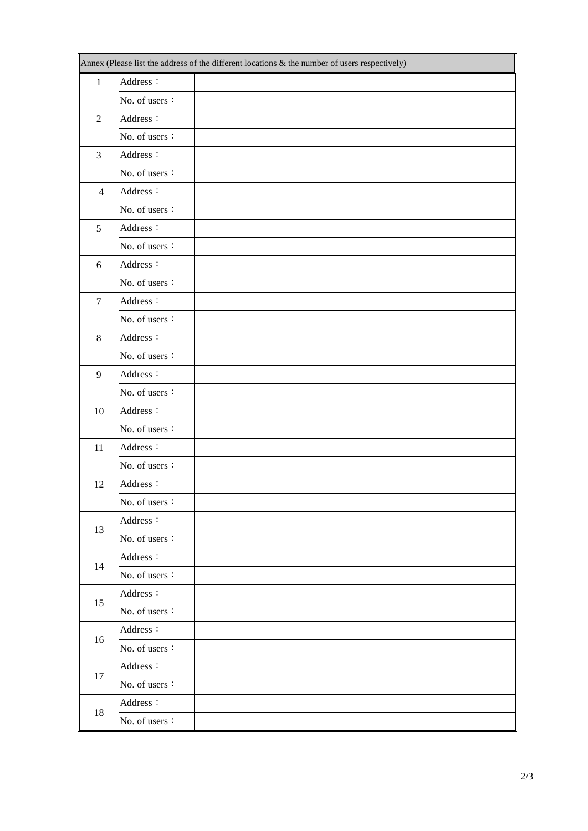|                  | Annex (Please list the address of the different locations & the number of users respectively) |  |  |  |  |
|------------------|-----------------------------------------------------------------------------------------------|--|--|--|--|
| $\mathbf{1}$     | Address:                                                                                      |  |  |  |  |
|                  | No. of users:                                                                                 |  |  |  |  |
| $\overline{2}$   | Address:                                                                                      |  |  |  |  |
|                  | No. of users:                                                                                 |  |  |  |  |
| 3                | Address:                                                                                      |  |  |  |  |
|                  | No. of users:                                                                                 |  |  |  |  |
| $\overline{4}$   | Address:                                                                                      |  |  |  |  |
|                  | No. of users:                                                                                 |  |  |  |  |
| 5                | Address:                                                                                      |  |  |  |  |
|                  | No. of users:                                                                                 |  |  |  |  |
| 6                | Address:                                                                                      |  |  |  |  |
|                  | No. of users:                                                                                 |  |  |  |  |
| $\boldsymbol{7}$ | Address:                                                                                      |  |  |  |  |
|                  | No. of users:                                                                                 |  |  |  |  |
| $\,8\,$          | Address:                                                                                      |  |  |  |  |
|                  | No. of users:                                                                                 |  |  |  |  |
| 9                | Address:                                                                                      |  |  |  |  |
|                  | No. of users:                                                                                 |  |  |  |  |
| 10               | Address:                                                                                      |  |  |  |  |
|                  | No. of users:                                                                                 |  |  |  |  |
| 11               | Address:                                                                                      |  |  |  |  |
|                  | No. of users:                                                                                 |  |  |  |  |
| 12               | Address:                                                                                      |  |  |  |  |
|                  | No. of users:                                                                                 |  |  |  |  |
| 13               | Address:                                                                                      |  |  |  |  |
|                  | No. of users:                                                                                 |  |  |  |  |
| 14               | Address:                                                                                      |  |  |  |  |
|                  | No. of users:                                                                                 |  |  |  |  |
|                  | Address:                                                                                      |  |  |  |  |
| 15               | No. of users:                                                                                 |  |  |  |  |
|                  | Address:                                                                                      |  |  |  |  |
| 16               | No. of users:                                                                                 |  |  |  |  |
| 17               | Address:                                                                                      |  |  |  |  |
|                  | No. of users:                                                                                 |  |  |  |  |
| 18               | Address:                                                                                      |  |  |  |  |
|                  | No. of users:                                                                                 |  |  |  |  |